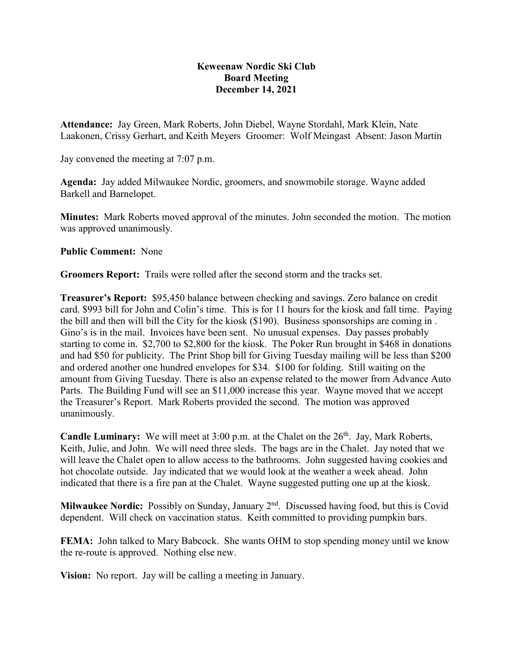## **Keweenaw Nordic Ski Club Board Meeting December 14, 2021**

**Attendance:** Jay Green, Mark Roberts, John Diebel, Wayne Stordahl, Mark Klein, Nate Laakonen, Crissy Gerhart, and Keith Meyers Groomer: Wolf Meingast Absent: Jason Martin

Jay convened the meeting at 7:07 p.m.

**Agenda:** Jay added Milwaukee Nordic, groomers, and snowmobile storage. Wayne added Barkell and Barnelopet.

**Minutes:** Mark Roberts moved approval of the minutes. John seconded the motion. The motion was approved unanimously.

**Public Comment:** None

**Groomers Report:** Trails were rolled after the second storm and the tracks set.

**Treasurer's Report:** \$95,450 balance between checking and savings. Zero balance on credit card. \$993 bill for John and Colin's time. This is for 11 hours for the kiosk and fall time. Paying the bill and then will bill the City for the kiosk (\$190). Business sponsorships are coming in . Gino's is in the mail. Invoices have been sent. No unusual expenses. Day passes probably starting to come in. \$2,700 to \$2,800 for the kiosk. The Poker Run brought in \$468 in donations and had \$50 for publicity. The Print Shop bill for Giving Tuesday mailing will be less than \$200 and ordered another one hundred envelopes for \$34. \$100 for folding. Still waiting on the amount from Giving Tuesday. There is also an expense related to the mower from Advance Auto Parts. The Building Fund will see an \$11,000 increase this year. Wayne moved that we accept the Treasurer's Report. Mark Roberts provided the second. The motion was approved unanimously.

**Candle Luminary:** We will meet at 3:00 p.m. at the Chalet on the 26<sup>th</sup>. Jay, Mark Roberts, Keith, Julie, and John. We will need three sleds. The bags are in the Chalet. Jay noted that we will leave the Chalet open to allow access to the bathrooms. John suggested having cookies and hot chocolate outside. Jay indicated that we would look at the weather a week ahead. John indicated that there is a fire pan at the Chalet. Wayne suggested putting one up at the kiosk.

**Milwaukee Nordic:** Possibly on Sunday, January 2<sup>nd</sup>. Discussed having food, but this is Covid dependent. Will check on vaccination status. Keith committed to providing pumpkin bars.

**FEMA:** John talked to Mary Babcock. She wants OHM to stop spending money until we know the re-route is approved. Nothing else new.

**Vision:** No report. Jay will be calling a meeting in January.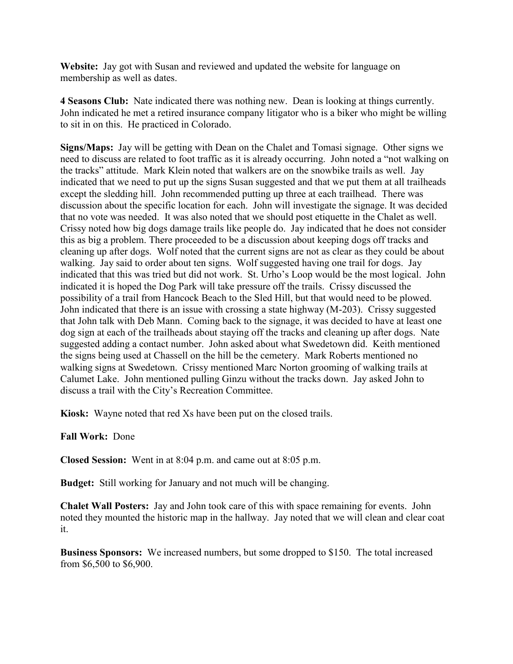**Website:** Jay got with Susan and reviewed and updated the website for language on membership as well as dates.

**4 Seasons Club:** Nate indicated there was nothing new. Dean is looking at things currently. John indicated he met a retired insurance company litigator who is a biker who might be willing to sit in on this. He practiced in Colorado.

**Signs/Maps:** Jay will be getting with Dean on the Chalet and Tomasi signage. Other signs we need to discuss are related to foot traffic as it is already occurring. John noted a "not walking on the tracks" attitude. Mark Klein noted that walkers are on the snowbike trails as well. Jay indicated that we need to put up the signs Susan suggested and that we put them at all trailheads except the sledding hill. John recommended putting up three at each trailhead. There was discussion about the specific location for each. John will investigate the signage. It was decided that no vote was needed. It was also noted that we should post etiquette in the Chalet as well. Crissy noted how big dogs damage trails like people do. Jay indicated that he does not consider this as big a problem. There proceeded to be a discussion about keeping dogs off tracks and cleaning up after dogs. Wolf noted that the current signs are not as clear as they could be about walking. Jay said to order about ten signs. Wolf suggested having one trail for dogs. Jay indicated that this was tried but did not work. St. Urho's Loop would be the most logical. John indicated it is hoped the Dog Park will take pressure off the trails. Crissy discussed the possibility of a trail from Hancock Beach to the Sled Hill, but that would need to be plowed. John indicated that there is an issue with crossing a state highway (M-203). Crissy suggested that John talk with Deb Mann. Coming back to the signage, it was decided to have at least one dog sign at each of the trailheads about staying off the tracks and cleaning up after dogs. Nate suggested adding a contact number. John asked about what Swedetown did. Keith mentioned the signs being used at Chassell on the hill be the cemetery. Mark Roberts mentioned no walking signs at Swedetown. Crissy mentioned Marc Norton grooming of walking trails at Calumet Lake. John mentioned pulling Ginzu without the tracks down. Jay asked John to discuss a trail with the City's Recreation Committee.

**Kiosk:** Wayne noted that red Xs have been put on the closed trails.

**Fall Work:** Done

**Closed Session:** Went in at 8:04 p.m. and came out at 8:05 p.m.

**Budget:** Still working for January and not much will be changing.

**Chalet Wall Posters:** Jay and John took care of this with space remaining for events. John noted they mounted the historic map in the hallway. Jay noted that we will clean and clear coat it.

**Business Sponsors:** We increased numbers, but some dropped to \$150. The total increased from \$6,500 to \$6,900.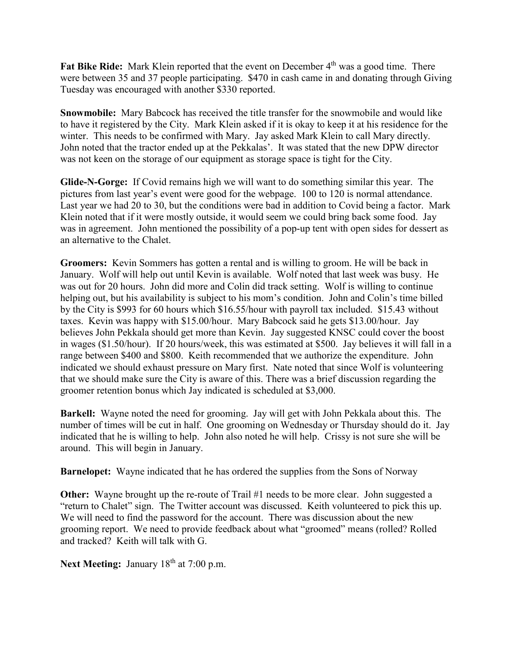Fat Bike Ride: Mark Klein reported that the event on December 4<sup>th</sup> was a good time. There were between 35 and 37 people participating. \$470 in cash came in and donating through Giving Tuesday was encouraged with another \$330 reported.

**Snowmobile:** Mary Babcock has received the title transfer for the snowmobile and would like to have it registered by the City. Mark Klein asked if it is okay to keep it at his residence for the winter. This needs to be confirmed with Mary. Jay asked Mark Klein to call Mary directly. John noted that the tractor ended up at the Pekkalas'. It was stated that the new DPW director was not keen on the storage of our equipment as storage space is tight for the City.

**Glide-N-Gorge:** If Covid remains high we will want to do something similar this year. The pictures from last year's event were good for the webpage. 100 to 120 is normal attendance. Last year we had 20 to 30, but the conditions were bad in addition to Covid being a factor. Mark Klein noted that if it were mostly outside, it would seem we could bring back some food. Jay was in agreement. John mentioned the possibility of a pop-up tent with open sides for dessert as an alternative to the Chalet.

**Groomers:** Kevin Sommers has gotten a rental and is willing to groom. He will be back in January. Wolf will help out until Kevin is available. Wolf noted that last week was busy. He was out for 20 hours. John did more and Colin did track setting. Wolf is willing to continue helping out, but his availability is subject to his mom's condition. John and Colin's time billed by the City is \$993 for 60 hours which \$16.55/hour with payroll tax included. \$15.43 without taxes. Kevin was happy with \$15.00/hour. Mary Babcock said he gets \$13.00/hour. Jay believes John Pekkala should get more than Kevin. Jay suggested KNSC could cover the boost in wages (\$1.50/hour). If 20 hours/week, this was estimated at \$500. Jay believes it will fall in a range between \$400 and \$800. Keith recommended that we authorize the expenditure. John indicated we should exhaust pressure on Mary first. Nate noted that since Wolf is volunteering that we should make sure the City is aware of this. There was a brief discussion regarding the groomer retention bonus which Jay indicated is scheduled at \$3,000.

**Barkell:** Wayne noted the need for grooming. Jay will get with John Pekkala about this. The number of times will be cut in half. One grooming on Wednesday or Thursday should do it. Jay indicated that he is willing to help. John also noted he will help. Crissy is not sure she will be around. This will begin in January.

**Barnelopet:** Wayne indicated that he has ordered the supplies from the Sons of Norway

**Other:** Wayne brought up the re-route of Trail #1 needs to be more clear. John suggested a "return to Chalet" sign. The Twitter account was discussed. Keith volunteered to pick this up. We will need to find the password for the account. There was discussion about the new grooming report. We need to provide feedback about what "groomed" means (rolled? Rolled and tracked? Keith will talk with G.

**Next Meeting:** January 18<sup>th</sup> at 7:00 p.m.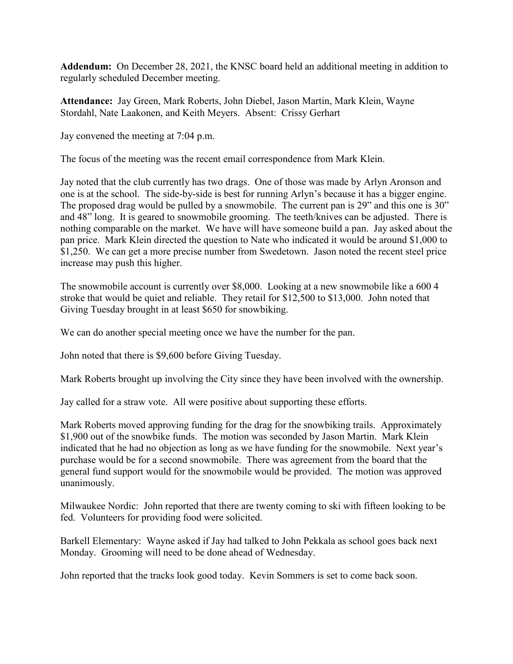**Addendum:** On December 28, 2021, the KNSC board held an additional meeting in addition to regularly scheduled December meeting.

**Attendance:** Jay Green, Mark Roberts, John Diebel, Jason Martin, Mark Klein, Wayne Stordahl, Nate Laakonen, and Keith Meyers. Absent: Crissy Gerhart

Jay convened the meeting at 7:04 p.m.

The focus of the meeting was the recent email correspondence from Mark Klein.

Jay noted that the club currently has two drags. One of those was made by Arlyn Aronson and one is at the school. The side-by-side is best for running Arlyn's because it has a bigger engine. The proposed drag would be pulled by a snowmobile. The current pan is 29" and this one is 30" and 48" long. It is geared to snowmobile grooming. The teeth/knives can be adjusted. There is nothing comparable on the market. We have will have someone build a pan. Jay asked about the pan price. Mark Klein directed the question to Nate who indicated it would be around \$1,000 to \$1,250. We can get a more precise number from Swedetown. Jason noted the recent steel price increase may push this higher.

The snowmobile account is currently over \$8,000. Looking at a new snowmobile like a 600 4 stroke that would be quiet and reliable. They retail for \$12,500 to \$13,000. John noted that Giving Tuesday brought in at least \$650 for snowbiking.

We can do another special meeting once we have the number for the pan.

John noted that there is \$9,600 before Giving Tuesday.

Mark Roberts brought up involving the City since they have been involved with the ownership.

Jay called for a straw vote. All were positive about supporting these efforts.

Mark Roberts moved approving funding for the drag for the snowbiking trails. Approximately \$1,900 out of the snowbike funds. The motion was seconded by Jason Martin. Mark Klein indicated that he had no objection as long as we have funding for the snowmobile. Next year's purchase would be for a second snowmobile. There was agreement from the board that the general fund support would for the snowmobile would be provided. The motion was approved unanimously.

Milwaukee Nordic: John reported that there are twenty coming to ski with fifteen looking to be fed. Volunteers for providing food were solicited.

Barkell Elementary: Wayne asked if Jay had talked to John Pekkala as school goes back next Monday. Grooming will need to be done ahead of Wednesday.

John reported that the tracks look good today. Kevin Sommers is set to come back soon.